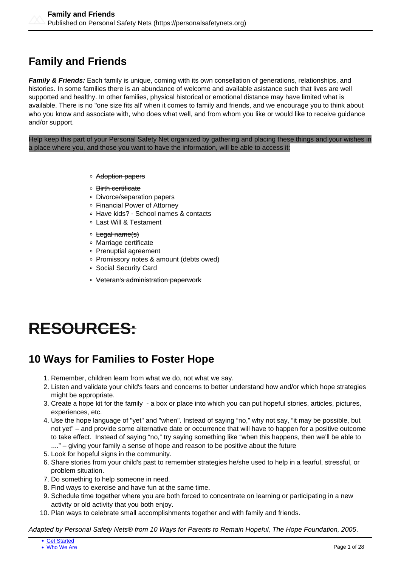### **Family and Friends**

**Family & Friends:** Each family is unique, coming with its own consellation of generations, relationships, and histories. In some families there is an abundance of welcome and available asistance such that lives are well supported and healthy. In other families, physical historical or emotional distance may have limited what is available. There is no "one size fits all' when it comes to family and friends, and we encourage you to think about who you know and associate with, who does what well, and from whom you like or would like to receive guidance and/or support.

Help keep this part of your Personal Safety Net organized by gathering and placing these things and your wishes in a place where you, and those you want to have the information, will be able to access it:

- Adoption papers
- o Birth certificate
- Divorce/separation papers
- Financial Power of Attorney
- Have kids? School names & contacts
- Last Will & Testament
- o Legal name(s)
- Marriage certificate
- Prenuptial agreement
- Promissory notes & amount (debts owed)
- Social Security Card
- Veteran's administration paperwork

# **RESOURCES:**

### **10 Ways for Families to Foster Hope**

- 1. Remember, children learn from what we do, not what we say.
- 2. Listen and validate your child's fears and concerns to better understand how and/or which hope strategies might be appropriate.
- 3. Create a hope kit for the family a box or place into which you can put hopeful stories, articles, pictures, experiences, etc.
- 4. Use the hope language of "yet" and "when". Instead of saying "no," why not say, "it may be possible, but not yet" – and provide some alternative date or occurrence that will have to happen for a positive outcome to take effect. Instead of saying "no," try saying something like "when this happens, then we'll be able to ...." – giving your family a sense of hope and reason to be positive about the future
- 5. Look for hopeful signs in the community.
- 6. Share stories from your child's past to remember strategies he/she used to help in a fearful, stressful, or problem situation.
- 7. Do something to help someone in need.
- 8. Find ways to exercise and have fun at the same time.
- 9. Schedule time together where you are both forced to concentrate on learning or participating in a new activity or old activity that you both enjoy.
- 10. Plan ways to celebrate small accomplishments together and with family and friends.

Adapted by Personal Safety Nets® from 10 Ways for Parents to Remain Hopeful, The Hope Foundation, 2005.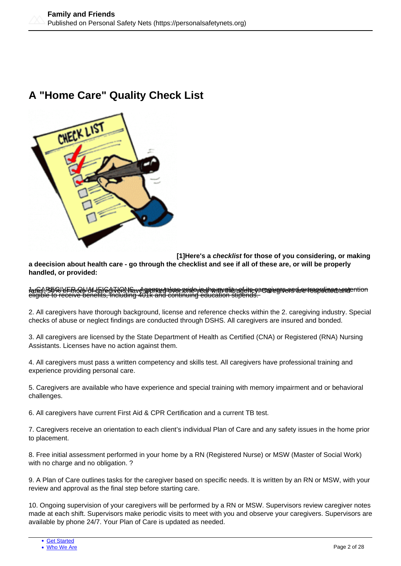### **A "Home Care" Quality Check List**



**[1]Here's a checklist for those of you considering, or making**

**a deecision about health care - go through the checklist and see if all of these are, or will be properly handled, or provided:** 

fates B5% VER GU LEfediver Yave sonredation prideved minutile additions and transport in the product of the<br>eligible to receive benefits, including 401k and continuing education stipends.

2. All caregivers have thorough background, license and reference checks within the 2. caregiving industry. Special checks of abuse or neglect findings are conducted through DSHS. All caregivers are insured and bonded.

3. All caregivers are licensed by the State Department of Health as Certified (CNA) or Registered (RNA) Nursing Assistants. Licenses have no action against them.

4. All caregivers must pass a written competency and skills test. All caregivers have professional training and experience providing personal care.

5. Caregivers are available who have experience and special training with memory impairment and or behavioral challenges.

6. All caregivers have current First Aid & CPR Certification and a current TB test.

7. Caregivers receive an orientation to each client's individual Plan of Care and any safety issues in the home prior to placement.

8. Free initial assessment performed in your home by a RN (Registered Nurse) or MSW (Master of Social Work) with no charge and no obligation. ?

9. A Plan of Care outlines tasks for the caregiver based on specific needs. It is written by an RN or MSW, with your review and approval as the final step before starting care.

10. Ongoing supervision of your caregivers will be performed by a RN or MSW. Supervisors review caregiver notes made at each shift. Supervisors make periodic visits to meet with you and observe your caregivers. Supervisors are available by phone 24/7. Your Plan of Care is updated as needed.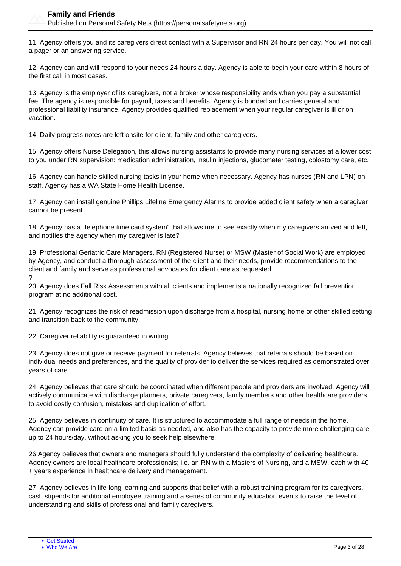11. Agency offers you and its caregivers direct contact with a Supervisor and RN 24 hours per day. You will not call a pager or an answering service.

12. Agency can and will respond to your needs 24 hours a day. Agency is able to begin your care within 8 hours of the first call in most cases.

13. Agency is the employer of its caregivers, not a broker whose responsibility ends when you pay a substantial fee. The agency is responsible for payroll, taxes and benefits. Agency is bonded and carries general and professional liability insurance. Agency provides qualified replacement when your regular caregiver is ill or on vacation.

14. Daily progress notes are left onsite for client, family and other caregivers.

15. Agency offers Nurse Delegation, this allows nursing assistants to provide many nursing services at a lower cost to you under RN supervision: medication administration, insulin injections, glucometer testing, colostomy care, etc.

16. Agency can handle skilled nursing tasks in your home when necessary. Agency has nurses (RN and LPN) on staff. Agency has a WA State Home Health License.

17. Agency can install genuine Phillips Lifeline Emergency Alarms to provide added client safety when a caregiver cannot be present.

18. Agency has a "telephone time card system" that allows me to see exactly when my caregivers arrived and left, and notifies the agency when my caregiver is late?

19. Professional Geriatric Care Managers, RN (Registered Nurse) or MSW (Master of Social Work) are employed by Agency, and conduct a thorough assessment of the client and their needs, provide recommendations to the client and family and serve as professional advocates for client care as requested. ?

20. Agency does Fall Risk Assessments with all clients and implements a nationally recognized fall prevention program at no additional cost.

21. Agency recognizes the risk of readmission upon discharge from a hospital, nursing home or other skilled setting and transition back to the community.

22. Caregiver reliability is guaranteed in writing.

23. Agency does not give or receive payment for referrals. Agency believes that referrals should be based on individual needs and preferences, and the quality of provider to deliver the services required as demonstrated over years of care.

24. Agency believes that care should be coordinated when different people and providers are involved. Agency will actively communicate with discharge planners, private caregivers, family members and other healthcare providers to avoid costly confusion, mistakes and duplication of effort.

25. Agency believes in continuity of care. It is structured to accommodate a full range of needs in the home. Agency can provide care on a limited basis as needed, and also has the capacity to provide more challenging care up to 24 hours/day, without asking you to seek help elsewhere.

26 Agency believes that owners and managers should fully understand the complexity of delivering healthcare. Agency owners are local healthcare professionals; i.e. an RN with a Masters of Nursing, and a MSW, each with 40 + years experience in healthcare delivery and management.

27. Agency believes in life-long learning and supports that belief with a robust training program for its caregivers, cash stipends for additional employee training and a series of community education events to raise the level of understanding and skills of professional and family caregivers.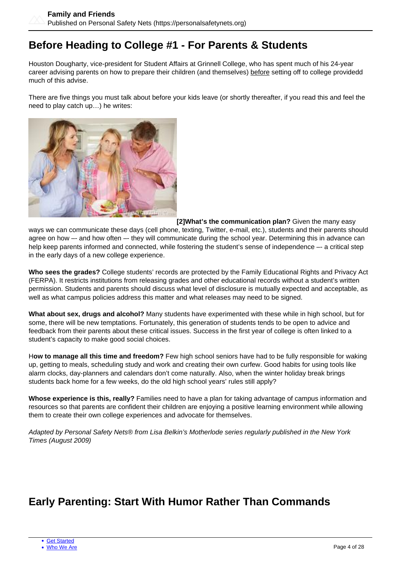### **Before Heading to College #1 - For Parents & Students**

Houston Dougharty, vice-president for Student Affairs at Grinnell College, who has spent much of his 24-year career advising parents on how to prepare their children (and themselves) before setting off to college providedd much of this advise.

There are five things you must talk about before your kids leave (or shortly thereafter, if you read this and feel the need to play catch up…) he writes:



**[2]What's the communication plan?** Given the many easy ways we can communicate these days (cell phone, texting, Twitter, e-mail, etc.), students and their parents should agree on how –- and how often –- they will communicate during the school year. Determining this in advance can help keep parents informed and connected, while fostering the student's sense of independence –- a critical step in the early days of a new college experience.

**Who sees the grades?** College students' records are protected by the Family Educational Rights and Privacy Act (FERPA). It restricts institutions from releasing grades and other educational records without a student's written permission. Students and parents should discuss what level of disclosure is mutually expected and acceptable, as well as what campus policies address this matter and what releases may need to be signed.

**What about sex, drugs and alcohol?** Many students have experimented with these while in high school, but for some, there will be new temptations. Fortunately, this generation of students tends to be open to advice and feedback from their parents about these critical issues. Success in the first year of college is often linked to a student's capacity to make good social choices.

H**ow to manage all this time and freedom?** Few high school seniors have had to be fully responsible for waking up, getting to meals, scheduling study and work and creating their own curfew. Good habits for using tools like alarm clocks, day-planners and calendars don't come naturally. Also, when the winter holiday break brings students back home for a few weeks, do the old high school years' rules still apply?

**Whose experience is this, really?** Families need to have a plan for taking advantage of campus information and resources so that parents are confident their children are enjoying a positive learning environment while allowing them to create their own college experiences and advocate for themselves.

Adapted by Personal Safety Nets® from Lisa Belkin's Motherlode series regularly published in the New York Times (August 2009)

### **Early Parenting: Start With Humor Rather Than Commands**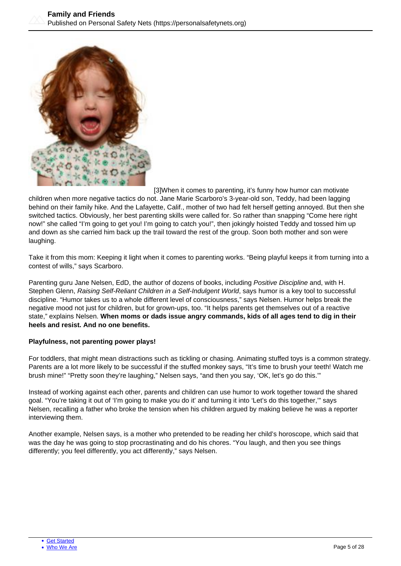

[3]When it comes to parenting, it's funny how humor can motivate

children when more negative tactics do not. Jane Marie Scarboro's 3-year-old son, Teddy, had been lagging behin[d on their fa](https://personalsafetynets.org/who-we-are)mily hike. And the Lafayette, Calif., mother of two had felt herself getting annoyed. But then she switched tactics. Obviously, her best parenting skills were called for. So rather than snapping "Come here right now!" she called "I'm going to get you! I'm going to catch you!", then jokingly hoisted Teddy and tossed him up and down as she carried him back up the trail toward the rest of the group. Soon both mother and son were laughing.

Take it from this mom: Keeping it light when it comes to parenting works. "Being playful keeps it from turning into a contest of wills," says Scarboro.

Parenting guru Jane Nelsen, EdD, the author of dozens of books, including Positive Discipline and, with H. Stephen Glenn, Raising Self-Reliant Children in a Self-Indulgent World, says humor is a key tool to successful discipline. "Humor takes us to a whole different level of consciousness," says Nelsen. Humor helps break the negative mood not just for children, but for grown-ups, too. "It helps parents get themselves out of a reactive state," explains Nelsen. **When moms or dads issue angry commands, kids of all ages tend to dig in their heels and resist. And no one benefits.**

### **Playfulness, not parenting power plays!**

For toddlers, that might mean distractions such as tickling or chasing. Animating stuffed toys is a common strategy. Parents are a lot more likely to be successful if the stuffed monkey says, "It's time to brush your teeth! Watch me brush mine!" "Pretty soon they're laughing," Nelsen says, "and then you say, 'OK, let's go do this.'"

Instead of working against each other, parents and children can use humor to work together toward the shared goal. "You're taking it out of 'I'm going to make you do it' and turning it into 'Let's do this together,'" says Nelsen, recalling a father who broke the tension when his children argued by making believe he was a reporter interviewing them.

Another example, Nelsen says, is a mother who pretended to be reading her child's horoscope, which said that was the day he was going to stop procrastinating and do his chores. "You laugh, and then you see things differently; you feel differently, you act differently," says Nelsen.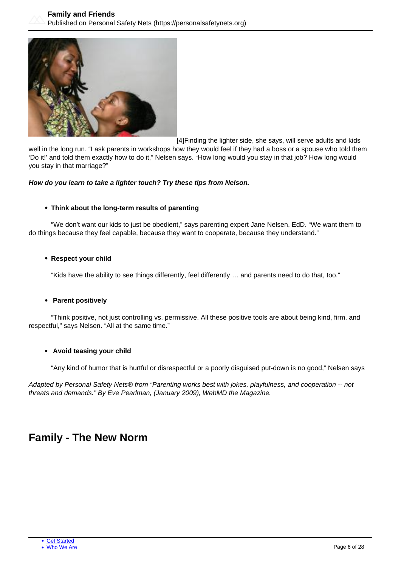

[4]Finding the lighter side, she says, will serve adults and kids

well in the long run. "I ask parents in workshops how they would feel if they had a boss or a spouse who told them 'Do it!' and told them exactly how to do it," Nelsen says. "How long would you stay in that job? How long would you stay in that marriage?"

### **How do you learn to take a lighter touch? Try these tips from Nelson.**

### **[Think a](https://personalsafetynets.org/content/building-your-personal-safety-net)[b](https://personalsafetynets.org/who-we-are)out the long-term results of parenting**

 "We don't want our kids to just be obedient," says parenting expert Jane Nelsen, EdD. "We want them to do things because they feel capable, because they want to cooperate, because they understand."

### **Respect your child**

"Kids have the ability to see things differently, feel differently … and parents need to do that, too."

### **Parent positively**

 "Think positive, not just controlling vs. permissive. All these positive tools are about being kind, firm, and respectful," says Nelsen. "All at the same time."

### **Avoid teasing your child**

"Any kind of humor that is hurtful or disrespectful or a poorly disguised put-down is no good," Nelsen says

Adapted by Personal Safety Nets® from "Parenting works best with jokes, playfulness, and cooperation -- not threats and demands." By Eve Pearlman, (January 2009), WebMD the Magazine.

### **Family - The New Norm**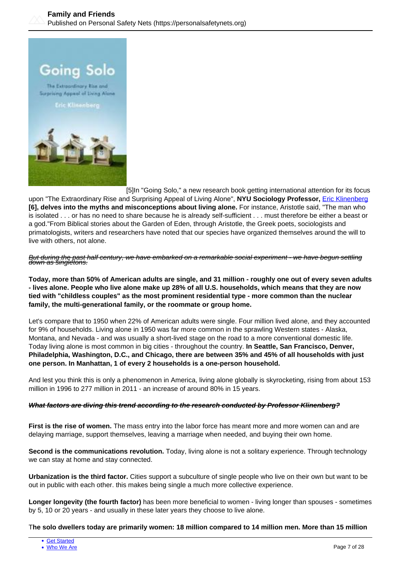**Going Solo** The Extraordinary Rise and **Surprising Appeal of Living Alone** 

[5]In "Going Solo," a new research book getting international attention for its focus upon "The Extraordinary Rise and Surprising Appeal of Living Alone", **NYU Sociology Professor,** [Eric Klinenberg](https://www.youtube.com/watch?v=YhPBYLFA_vQ) **[6], delves into the myths and misconceptions about living alone.** For instance, Aristotle said, "The man who is isolated . . . or has no need to share because he is already self-sufficient . . . must therefore be either a beast or a god."From Biblical stories about the Garden of Eden, through Aristotle, the Greek poets, sociologists and primatologists, writers and researchers have noted that our species have organized themselves around the will to live with others, not alone.

## But during the past half century, we have embarked on a remarkable social experiment - we have begun settling<br>down [as singlet](https://personalsafetynets.org/content/building-your-personal-safety-net)ons.

**Toda[y, more tha](https://personalsafetynets.org/who-we-are)n 50% of American adults are single, and 31 million - roughly one out of every seven adults - lives alone. People who live alone make up 28% of all U.S. households, which means that they are now tied with "childless couples" as the most prominent residential type - more common than the nuclear family, the multi-generational family, or the roommate or group home.**

Let's compare that to 1950 when 22% of American adults were single. Four million lived alone, and they accounted for 9% of households. Living alone in 1950 was far more common in the sprawling Western states - Alaska, Montana, and Nevada - and was usually a short-lived stage on the road to a more conventional domestic life. Today living alone is most common in big cities - throughout the country. **In Seattle, San Francisco, Denver, Philadelphia, Washington, D.C., and Chicago, there are between 35% and 45% of all households with just one person. In Manhattan, 1 of every 2 households is a one-person household.**

And lest you think this is only a phenomenon in America, living alone globally is skyrocketing, rising from about 153 million in 1996 to 277 million in 2011 - an increase of around 80% in 15 years.

### **What factors are diving this trend according to the research conducted by Professor Klinenberg?**

**First is the rise of women.** The mass entry into the labor force has meant more and more women can and are delaying marriage, support themselves, leaving a marriage when needed, and buying their own home.

**Second is the communications revolution.** Today, living alone is not a solitary experience. Through technology we can stay at home and stay connected.

**Urbanization is the third factor.** Cities support a subculture of single people who live on their own but want to be out in public with each other. this makes being single a much more collective experience.

**Longer longevity (the fourth factor)** has been more beneficial to women - living longer than spouses - sometimes by 5, 10 or 20 years - and usually in these later years they choose to live alone.

T**he solo dwellers today are primarily women: 18 million compared to 14 million men. More than 15 million**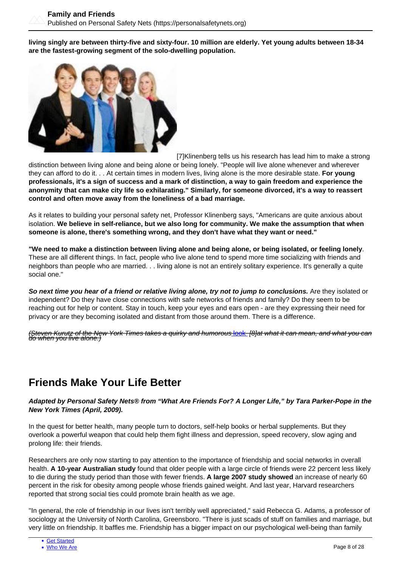**living singly are between thirty-five and sixty-four. 10 million are elderly. Yet young adults between 18-34 are the fastest-growing segment of the solo-dwelling population.**



[7]Klinenberg tells us his research has lead him to make a strong

distinction between living alone and being alone or being lonely. "People will live alone whenever and wherever they can afford to do it. . . At certain times in modern lives, living alone is the more desirable state. **For young professionals, it's a sign of success and a mark of distinction, a way to gain freedom and experience the anonymity that can make city life so exhilarating." Similarly, for someone divorced, it's a way to reassert control and often move away from the loneliness of a bad marriage.**

As it relates to building your personal safety net, Professor Klinenberg says, "Americans are quite anxious about isolation. **We believe in self-reliance, but we also long for community. We make the assumption that when someone is alone, there's something wrong, and they don't have what they want or need."**

**"We need to make a distinction between living alone and being alone, or being isolated, or feeling lonely**. These are all different things. In fact, people who live alone tend to spend more time socializing with friends and neighbors than people who are married. . . living alone is not an entirely solitary experience. It's generally a quite social one."

**So next time you hear of a friend or relative living alone, try not to jump to conclusions.** Are they isolated or independent? Do they have close connections with safe networks of friends and family? Do they seem to be reaching out for help or content. Stay in touch, keep your eyes and ears open - are they expressing their need for privacy or are they becoming isolated and distant from those around them. There is a difference.

(Steven Kurutz of the New York Times takes a quirky and humorous <mark>look.</mark> [8]at what it can mean, and what you can<br>do when you live alone.)

### **Friends Make Your Life Better**

**Adapted by Personal Safety Nets® from "What Are Friends For? A Longer Life," by Tara Parker-Pope in the New York Times (April, 2009).**

In the quest for better health, many people turn to doctors, self-help books or herbal supplements. But they overlook a powerful weapon that could help them fight illness and depression, speed recovery, slow aging and prolong life: their friends.

Researchers are only now starting to pay attention to the importance of friendship and social networks in overall health. **A 10-year Australian study** found that older people with a large circle of friends were 22 percent less likely to die during the study period than those with fewer friends. **A large 2007 study showed** an increase of nearly 60 percent in the risk for obesity among people whose friends gained weight. And last year, Harvard researchers reported that strong social ties could promote brain health as we age.

''In general, the role of friendship in our lives isn't terribly well appreciated,'' said Rebecca G. Adams, a professor of sociology at the University of North Carolina, Greensboro. ''There is just scads of stuff on families and marriage, but very little on friendship. It baffles me. Friendship has a bigger impact on our psychological well-being than family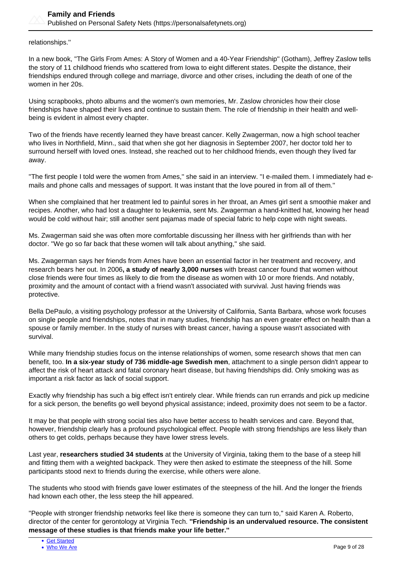### relationships.''

In a new book, ''The Girls From Ames: A Story of Women and a 40-Year Friendship'' (Gotham), Jeffrey Zaslow tells the story of 11 childhood friends who scattered from Iowa to eight different states. Despite the distance, their friendships endured through college and marriage, divorce and other crises, including the death of one of the women in her 20s.

Using scrapbooks, photo albums and the women's own memories, Mr. Zaslow chronicles how their close friendships have shaped their lives and continue to sustain them. The role of friendship in their health and wellbeing is evident in almost every chapter.

Two of the friends have recently learned they have breast cancer. Kelly Zwagerman, now a high school teacher who lives in Northfield, Minn., said that when she got her diagnosis in September 2007, her doctor told her to surround herself with loved ones. Instead, she reached out to her childhood friends, even though they lived far away.

''The first people I told were the women from Ames,'' she said in an interview. ''I e-mailed them. I immediately had emails and phone calls and messages of support. It was instant that the love poured in from all of them.''

When she complained that her treatment led to painful sores in her throat, an Ames girl sent a smoothie maker and recipes. Another, who had lost a daughter to leukemia, sent Ms. Zwagerman a hand-knitted hat, knowing her head would be cold without hair; still another sent pajamas made of special fabric to help cope with night sweats.

Ms. Zwagerman said she was often more comfortable discussing her illness with her girlfriends than with her doctor. ''We go so far back that these women will talk about anything,'' she said.

Ms. Zwagerman says her friends from Ames have been an essential factor in her treatment and recovery, and research bears her out. In 2006**, a study of nearly 3,000 nurses** with breast cancer found that women without close friends were four times as likely to die from the disease as women with 10 or more friends. And notably, proximity and the amount of contact with a friend wasn't associated with survival. Just having friends was protective.

Bella DePaulo, a visiting psychology professor at the University of California, Santa Barbara, whose work focuses on single people and friendships, notes that in many studies, friendship has an even greater effect on health than a spouse or family member. In the study of nurses with breast cancer, having a spouse wasn't associated with survival.

While many friendship studies focus on the intense relationships of women, some research shows that men can benefit, too. **In a six-year study of 736 middle-age Swedish men**, attachment to a single person didn't appear to affect the risk of heart attack and fatal coronary heart disease, but having friendships did. Only smoking was as important a risk factor as lack of social support.

Exactly why friendship has such a big effect isn't entirely clear. While friends can run errands and pick up medicine for a sick person, the benefits go well beyond physical assistance; indeed, proximity does not seem to be a factor.

It may be that people with strong social ties also have better access to health services and care. Beyond that, however, friendship clearly has a profound psychological effect. People with strong friendships are less likely than others to get colds, perhaps because they have lower stress levels.

Last year, **researchers studied 34 students** at the University of Virginia, taking them to the base of a steep hill and fitting them with a weighted backpack. They were then asked to estimate the steepness of the hill. Some participants stood next to friends during the exercise, while others were alone.

The students who stood with friends gave lower estimates of the steepness of the hill. And the longer the friends had known each other, the less steep the hill appeared.

''People with stronger friendship networks feel like there is someone they can turn to,'' said Karen A. Roberto, director of the center for gerontology at Virginia Tech. **''Friendship is an undervalued resource. The consistent message of these studies is that friends make your life better.''**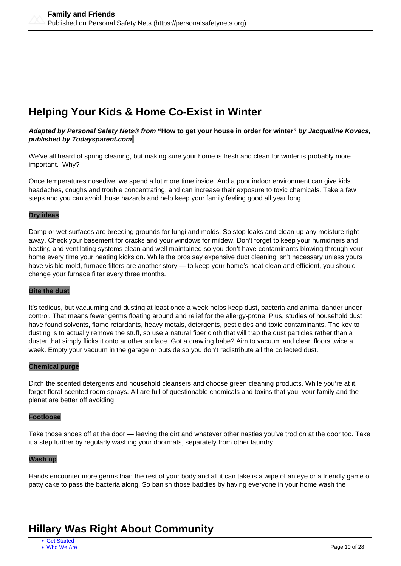### **Helping Your Kids & Home Co-Exist in Winter**

### **Adapted by Personal Safety Nets® from "How to get your house in order for winter" by Jacqueline Kovacs, published by Todaysparent.com**

We've all heard of spring cleaning, but making sure your home is fresh and clean for winter is probably more important. Why?

Once temperatures nosedive, we spend a lot more time inside. And a poor indoor environment can give kids headaches, coughs and trouble concentrating, and can increase their exposure to toxic chemicals. Take a few steps and you can avoid those hazards and help keep your family feeling good all year long.

### **Dry ideas**

Damp or wet surfaces are breeding grounds for fungi and molds. So stop leaks and clean up any moisture right away. Check your basement for cracks and your windows for mildew. Don't forget to keep your humidifiers and heating and ventilating systems clean and well maintained so you don't have contaminants blowing through your home every time your heating kicks on. While the pros say expensive duct cleaning isn't necessary unless yours have visible mold, furnace filters are another story — to keep your home's heat clean and efficient, you should change your furnace filter every three months.

#### **Bite the dust**

It's tedious, but vacuuming and dusting at least once a week helps keep dust, bacteria and animal dander under control. That means fewer germs floating around and relief for the allergy-prone. Plus, studies of household dust have found solvents, flame retardants, heavy metals, detergents, pesticides and toxic contaminants. The key to dusting is to actually remove the stuff, so use a natural fiber cloth that will trap the dust particles rather than a duster that simply flicks it onto another surface. Got a crawling babe? Aim to vacuum and clean floors twice a week. Empty your vacuum in the garage or outside so you don't redistribute all the collected dust.

#### **Chemical purge**

Ditch the scented detergents and household cleansers and choose green cleaning products. While you're at it, forget floral-scented room sprays. All are full of questionable chemicals and toxins that you, your family and the planet are better off avoiding.

#### **Footloose**

Take those shoes off at the door — leaving the dirt and whatever other nasties you've trod on at the door too. Take it a step further by regularly washing your doormats, separately from other laundry.

#### **Wash up**

Hands encounter more germs than the rest of your body and all it can take is a wipe of an eye or a friendly game of patty cake to pass the bacteria along. So banish those baddies by having everyone in your home wash the

### **Hillary Was Right About Community**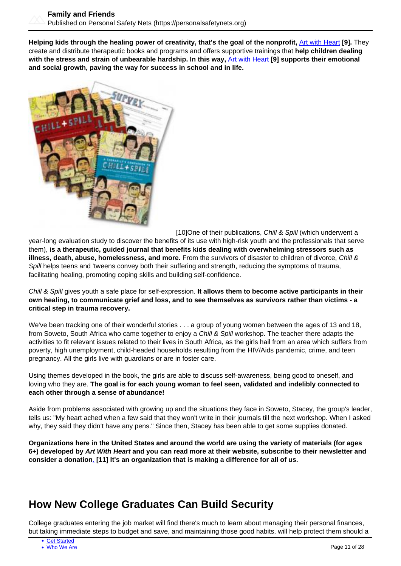**Helping kids through the healing power of creativity, that's the goal of the nonprofit,** [Art with Heart](https://artwithheart.org) **[9].** They create and distribute therapeutic books and programs and offers supportive trainings that **help children dealing** with the stress and strain of unbearable hardship. In this way, [Art with Heart](https://artwithheart.org) **[9]** supports their emotional **and social growth, paving the way for success in school and in life.**



[10]One of their publications, Chill & Spill (which underwent a

year-long evaluation study to discover the benefits of its use with high-risk youth and the professionals that serve them), **is a therapeutic, guided journal that benefits kids dealing with overwhelming stressors such as illness, death, abuse, homelessness, and more.** From the survivors of disaster to children of divorce, Chill & Spill helps teens and 'tweens convey both their suffering and strength, reducing the symptoms of trauma, facilitating healing, promoting coping skills and building self-confidence.

Chill & Spill gives youth a safe place for self-expression. **It allows them to become active participants in their own healing, to communicate grief and loss, and to see themselves as survivors rather than victims - a critical step in trauma recovery.** 

We've been tracking one of their wonderful stories . . . a group of young women between the ages of 13 and 18, from Soweto, South Africa who came together to enjoy a Chill & Spill workshop. The teacher there adapts the activities to fit relevant issues related to their lives in South Africa, as the girls hail from an area which suffers from poverty, high unemployment, child-headed households resulting from the HIV/Aids pandemic, crime, and teen pregnancy. All the girls live with guardians or are in foster care.

Using themes developed in the book, the girls are able to discuss self-awareness, being good to oneself, and loving who they are. **The goal is for each young woman to feel seen, validated and indelibly connected to each other through a sense of abundance!**

Aside from problems associated with growing up and the situations they face in Soweto, Stacey, the group's leader, tells us: "My heart ached when a few said that they won't write in their journals till the next workshop. When I asked why, they said they didn't have any pens." Since then, Stacey has been able to get some supplies donated.

**Organizations here in the United States and around the world are using the variety of materials (for ages 6+) developed by Art With Heart and you can read more at their website, subscribe to their newsletter and consider a donation**[.](https://artwithheart.org/support/) **[11] It's an organization that is making a difference for all of us.** 

### **How New College Graduates Can Build Security**

College graduates entering the job market will find there's much to learn about managing their personal finances, but taking immediate steps to budget and save, and maintaining those good habits, will help protect them should a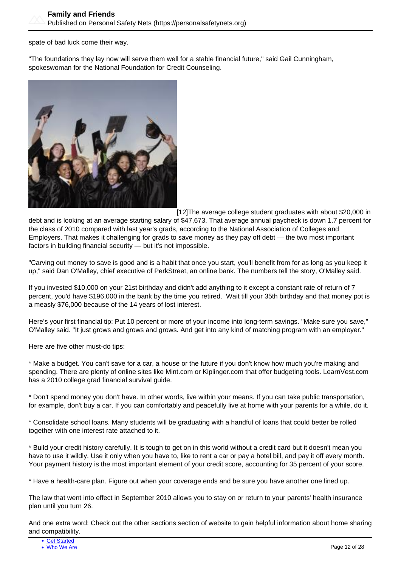spate of bad luck come their way.

"The foundations they lay now will serve them well for a stable financial future," said Gail Cunningham, spokeswoman for the National Foundation for Credit Counseling.



[12] The average college student graduates with about \$20,000 in debt and is looking at an average starting salary of \$47,673. That average annual paycheck is down 1.7 percent for the class of 2010 compared with last year's grads, according to the National Association of Colleges and Employers. That makes it challenging for grads to save money as they pay off debt — the two most important factors in building financial security — but it's not impossible.

"Carving out money to save is good and is a habit that once you start, you'll benefit from for as long as you keep it up," said Dan O'Malley, chief executive of PerkStreet, an online bank. The numbers tell the story, O'Malley said.

If you invested \$10,000 on your 21st birthday and didn't add anything to it except a constant rate of return of 7 percent, you'd have \$196,000 in the bank by the time you retired. Wait till your 35th birthday and that money pot is a measly \$76,000 because of the 14 years of lost interest.

Here's your first financial tip: Put 10 percent or more of your income into long-term savings. "Make sure you save," O'Malley said. "It just grows and grows and grows. And get into any kind of matching program with an employer."

Here are five other must-do tips:

\* Make a budget. You can't save for a car, a house or the future if you don't know how much you're making and spending. There are plenty of online sites like Mint.com or Kiplinger.com that offer budgeting tools. LearnVest.com has a 2010 college grad financial survival guide.

\* Don't spend money you don't have. In other words, live within your means. If you can take public transportation, for example, don't buy a car. If you can comfortably and peacefully live at home with your parents for a while, do it.

\* Consolidate school loans. Many students will be graduating with a handful of loans that could better be rolled together with one interest rate attached to it.

\* Build your credit history carefully. It is tough to get on in this world without a credit card but it doesn't mean you have to use it wildly. Use it only when you have to, like to rent a car or pay a hotel bill, and pay it off every month. Your payment history is the most important element of your credit score, accounting for 35 percent of your score.

\* Have a health-care plan. Figure out when your coverage ends and be sure you have another one lined up.

The law that went into effect in September 2010 allows you to stay on or return to your parents' health insurance plan until you turn 26.

And one extra word: Check out the other sections section of website to gain helpful information about home sharing and compatibility.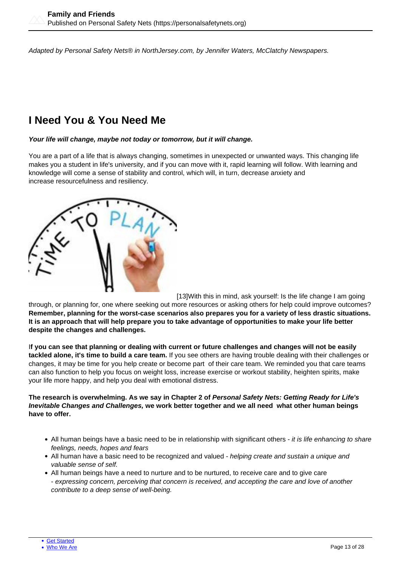Adapted by Personal Safety Nets® in NorthJersey.com, by Jennifer Waters, McClatchy Newspapers.

### **I Need You & You Need Me**

#### **Your life will change, maybe not today or tomorrow, but it will change.**

You are a part of a life that is always changing, sometimes in unexpected or unwanted ways. This changing life makes you a student in life's university, and if you can move with it, rapid learning will follow. With learning and knowledge will come a sense of stability and control, which will, in turn, decrease anxiety and increase resourcefulness and resiliency.



[13]With this in mind, ask yourself: Is the life change I am going

through, or planning for, one where seeking out more resources or asking others for help could improve outcomes? **Remember, planning for the worst-case scenarios also prepares you for a variety of less drastic situations. It is an approach that will help prepare you to take advantage of opportunities to make your life better despite the changes and challenges.**

I**f you can see that planning or dealing with current or future challenges and changes will not be easily tackled alone, it's time to build a care team.** If you see others are having trouble dealing with their challenges or changes, it may be time for you help create or become part of their care team. We reminded you that care teams can also function to help you focus on weight loss, increase exercise or workout stability, heighten spirits, make your life more happy, and help you deal with emotional distress.

### **The research is overwhelming. As we say in Chapter 2 of Personal Safety Nets: Getting Ready for Life's Inevitable Changes and Challenges, we work better together and we all need what other human beings have to offer.**

- All human beings have a basic need to be in relationship with significant others it is life enhancing to share feelings, needs, hopes and fears
- All human have a basic need to be recognized and valued helping create and sustain a unique and valuable sense of self.
- All human beings have a need to nurture and to be nurtured, to receive care and to give care - expressing concern, perceiving that concern is received, and accepting the care and love of another contribute to a deep sense of well-being.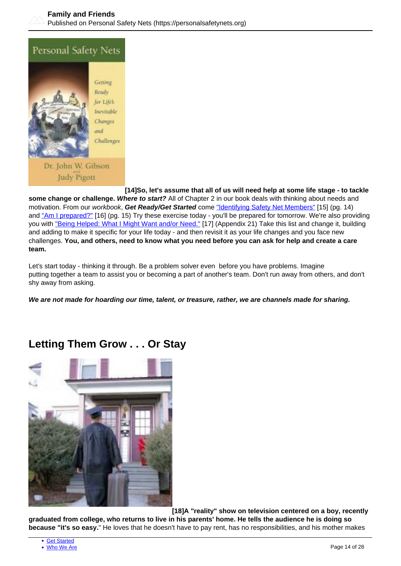### Personal Safety Nets



for Life's Incvitable Changes Challenges

Judy Pigott

**[14]So, let's assume that all of us will need help at some life stage - to tackle**

**some change or challenge. Where to start?** All of Chapter 2 in our book deals with thinking about needs and motiv[ation. From](https://personalsafetynets.org/content/building-your-personal-safety-net) our workbook, **Get Ready/Get Started** come ["Identifying Safety Net Members"](https://personalsafetynets.org/sites/default/files/workbook_chapter_2.pdf) [15] (pg. 14) and ["Am I prepared?"](https://personalsafetynets.org/sites/default/files/workbook_chapter_2.pdf#page=2) [16] (pg. 15) Try these exercise today - you'll be prepared for tomorrow. We're also providing you with ["Being Helped: What I Might Want and/or Need."](https://personalsafetynets.org/sites/default/files/workbook_chapter_2.pdf#page=8) [17] (Appendix 21) Take this list and change it, building and adding to make it specific for your life today - and then revisit it as your life changes and you face new challenges. **You, and others, need to know what you need before you can ask for help and create a care team.**

Let's start today - thinking it through. Be a problem solver even before you have problems. Imagine putting together a team to assist you or becoming a part of another's team. Don't run away from others, and don't shy away from asking.

**We are not made for hoarding our time, talent, or treasure, rather, we are channels made for sharing.**



**Letting Them Grow . . . Or Stay**

**[18]A "reality" show on television centered on a boy, recently**

**graduated from college, who returns to live in his parents' home. He tells the audience he is doing so because "it's so easy.**" He loves that he doesn't have to pay rent, has no responsibilities, and his mother makes

[Get Started](https://personalsafetynets.org/content/building-your-personal-safety-net)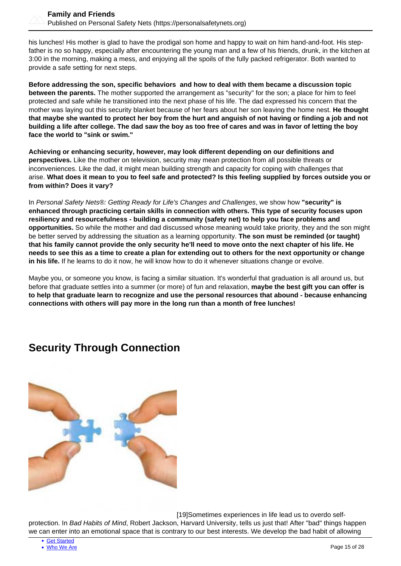his lunches! His mother is glad to have the prodigal son home and happy to wait on him hand-and-foot. His stepfather is no so happy, especially after encountering the young man and a few of his friends, drunk, in the kitchen at 3:00 in the morning, making a mess, and enjoying all the spoils of the fully packed refrigerator. Both wanted to provide a safe setting for next steps.

**Before addressing the son, specific behaviors and how to deal with them became a discussion topic between the parents.** The mother supported the arrangement as "security" for the son; a place for him to feel protected and safe while he transitioned into the next phase of his life. The dad expressed his concern that the mother was laying out this security blanket because of her fears about her son leaving the home nest. **He thought that maybe she wanted to protect her boy from the hurt and anguish of not having or finding a job and not building a life after college. The dad saw the boy as too free of cares and was in favor of letting the boy face the world to "sink or swim."**

**Achieving or enhancing security, however, may look different depending on our definitions and perspectives.** Like the mother on television, security may mean protection from all possible threats or inconveniences. Like the dad, it might mean building strength and capacity for coping with challenges that arise. **What does it mean to you to feel safe and protected? Is this feeling supplied by forces outside you or from within? Does it vary?**

In Personal Safety Nets®: Getting Ready for Life's Changes and Challenges, we show how **"security" is enhanced through practicing certain skills in connection with others. This type of security focuses upon resiliency and resourcefulness - building a community (safety net) to help you face problems and opportunities.** So while the mother and dad discussed whose meaning would take priority, they and the son might be better served by addressing the situation as a learning opportunity. **The son must be reminded (or taught) that his family cannot provide the only security he'll need to move onto the next chapter of his life. He needs to see this as a time to create a plan for extending out to others for the next opportunity or change in his life.** If he learns to do it now, he will know how to do it whenever situations change or evolve.

Maybe you, or someone you know, is facing a similar situation. It's wonderful that graduation is all around us, but before that graduate settles into a summer (or more) of fun and relaxation, **maybe the best gift you can offer is to help that graduate learn to recognize and use the personal resources that abound - because enhancing connections with others will pay more in the long run than a month of free lunches!**

### **Security Through Connection**



[19]Sometimes experiences in life lead us to overdo self-

protection. In Bad Habits of Mind, Robert Jackson, Harvard University, tells us just that! After "bad" things happen we can enter into an emotional space that is contrary to our best interests. We develop the bad habit of allowing

[Get Started](https://personalsafetynets.org/content/building-your-personal-safety-net)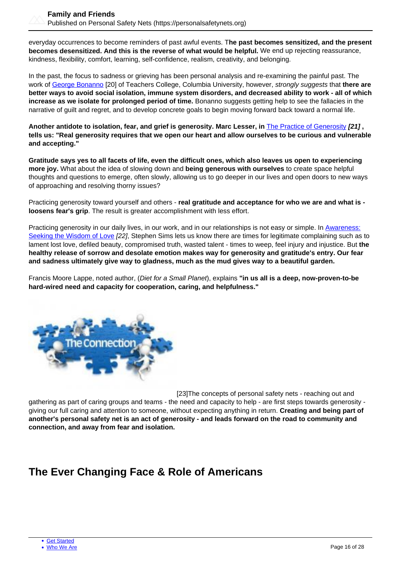everyday occurrences to become reminders of past awful events. T**he past becomes sensitized, and the present becomes desensitized. And this is the reverse of what would be helpful.** We end up rejecting reassurance, kindness, flexibility, comfort, learning, self-confidence, realism, creativity, and belonging.

In the past, the focus to sadness or grieving has been personal analysis and re-examining the painful past. The work of [George Bonanno](https://www.youtube.com/watch?v=wmCmThpe5-U) [20] of Teachers College, Columbia University, however, strongly suggests that **there are better ways to avoid social isolation, immune system disorders, and decreased ability to work - all of which increase as we isolate for prolonged period of time.** Bonanno suggests getting help to see the fallacies in the narrative of guilt and regret, and to develop concrete goals to begin moving forward back toward a normal life.

**Another antidote to isolation, fear, and grief is generosity. Marc Lesser, in** [The Practice of Generosity](https://www.marclesser.net/its-what-you-do-the-practice-of-skillful-action/) **[21] , tells us: "Real generosity requires that we open our heart and allow ourselves to be curious and vulnerable and accepting."**

**Gratitude says yes to all facets of life, even the difficult ones, which also leaves us open to experiencing more joy.** What about the idea of slowing down and **being generous with ourselves** to create space helpful thoughts and questions to emerge, often slowly, allowing us to go deeper in our lives and open doors to new ways of approaching and resolving thorny issues?

Practicing generosity toward yourself and others - **real gratitude and acceptance for who we are and what is loosens fear's grip**. The result is greater accomplishment with less effort.

Practicing generosity in our daily lives, in our work, and in our relationships is not easy or simple. In [Awareness:](http://www.stephenksims.com/river-of-awareness/) [Seeking the Wisdom of Love](http://www.stephenksims.com/river-of-awareness/) [22], Stephen Sims lets us know there are times for legitimate complaining such as to lament lost love, defiled beauty, compromised truth, wasted talent - times to weep, feel injury and injustice. But **the healthy release of sorrow and desolate emotion makes way for generosity and gratitude's entry. Our fear and sadness ultimately give way to gladness, much as the mud gives way to a beautiful garden.**

Francis Moore Lappe, noted author, (Diet for a Small Planet), explains **"in us all is a deep, now-proven-to-be hard-wired need and capacity for cooperation, caring, and helpfulness."**



[23]The concepts of personal safety nets - reaching out and gathering as part of caring groups and teams - the need and capacity to help - are first steps towards generosity giving our full caring and attention to someone, without expecting anything in return. **Creating and being part of another's personal safety net is an act of generosity - and leads forward on the road to community and connection, and away from fear and isolation.**

### **The Ever Changing Face & Role of Americans**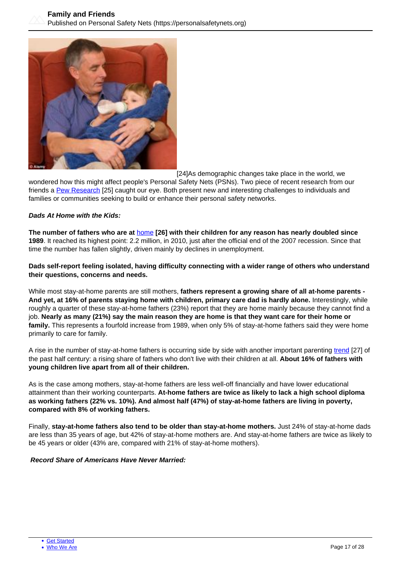

[24]As demographic changes take place in the world, we

wondered how this might affect people's Personal Safety Nets (PSNs). Two piece of recent research from our friends a [Pew Research](https://www.pewresearch.org/fact-tank/2019/04/11/6-demographic-trends-shaping-the-u-s-and-the-world-in-2019/) [25] caught our eye. Both present new and interesting challenges to individuals and families or communities seeking to build or enhance their personal safety networks.

#### **Dads [At Home](https://personalsafetynets.org/content/building-your-personal-safety-net) with the Kids:**

**The number of fathers who are at** [home](https://www.pewresearch.org/fact-tank/2019/06/12/fathers-day-facts/) **[26] with their children for any reason has nearly doubled since 1989**. It reached its highest point: 2.2 million, in 2010, just after the official end of the 2007 recession. Since that time the number has fallen slightly, driven mainly by declines in unemployment.

**Dads self-report feeling isolated, having difficulty connecting with a wider range of others who understand their questions, concerns and needs.** 

While most stay-at-home parents are still mothers, **fathers represent a growing share of all at-home parents - And yet, at 16% of parents staying home with children, primary care dad is hardly alone.** Interestingly, while roughly a quarter of these stay-at-home fathers (23%) report that they are home mainly because they cannot find a job. **Nearly as many (21%) say the main reason they are home is that they want care for their home or family.** This represents a fourfold increase from 1989, when only 5% of stay-at-home fathers said they were home primarily to care for family.

A rise in the number of stay-at-home fathers is occurring side by side with another important parenting [trend](https://www.all4kids.org/news/blog/a-fathers-impact-on-child-development/) [27] of the past half century: a rising share of fathers who don't live with their children at all. **About 16% of fathers with young children live apart from all of their children.**

As is the case among mothers, stay-at-home fathers are less well-off financially and have lower educational attainment than their working counterparts. **At-home fathers are twice as likely to lack a high school diploma as working fathers (22% vs. 10%). And almost half (47%) of stay-at-home fathers are living in poverty, compared with 8% of working fathers.** 

Finally, **stay-at-home fathers also tend to be older than stay-at-home mothers.** Just 24% of stay-at-home dads are less than 35 years of age, but 42% of stay-at-home mothers are. And stay-at-home fathers are twice as likely to be 45 years or older (43% are, compared with 21% of stay-at-home mothers).

### **Record Share of Americans Have Never Married:**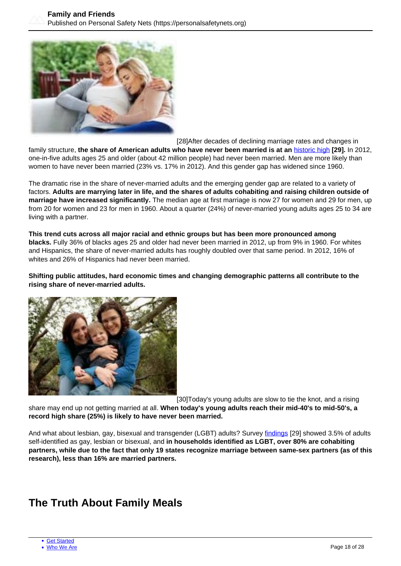

[28]After decades of declining marriage rates and changes in

family structure, **the share of American adults who have never been married is at an** [historic high](https://www.pewsocialtrends.org/2018/04/25/the-changing-profile-of-unmarried-parents/) **[29].** In 2012, one-in-five adults ages 25 and older (about 42 million people) had never been married. Men are more likely than women to have never been married (23% vs. 17% in 2012). And this gender gap has widened since 1960.

The dramatic rise in the share of never-married adults and the emerging gender gap are related to a variety of factors. **Adults are marrying later in life, and the shares of adults cohabiting and raising children outside of marri[age have](https://personalsafetynets.org/content/building-your-personal-safety-net) increased significantly.** The median age at first marriage is now 27 for women and 29 for men, up from [20 for wome](https://personalsafetynets.org/who-we-are)n and 23 for men in 1960. About a quarter (24%) of never-married young adults ages 25 to 34 are living with a partner.

**This trend cuts across all major racial and ethnic groups but has been more pronounced among blacks.** Fully 36% of blacks ages 25 and older had never been married in 2012, up from 9% in 1960. For whites and Hispanics, the share of never-married adults has roughly doubled over that same period. In 2012, 16% of whites and 26% of Hispanics had never been married.

**Shifting public attitudes, hard economic times and changing demographic patterns all contribute to the rising share of never-married adults.**



[30]Today's young adults are slow to tie the knot, and a rising

share may end up not getting married at all. **When today's young adults reach their mid-40's to mid-50's, a record high share (25%) is likely to have never been married.**

And what about lesbian, gay, bisexual and transgender (LGBT) adults? Survey [findings](https://www.pewsocialtrends.org/2018/04/25/the-changing-profile-of-unmarried-parents/) [29] showed 3.5% of adults self-identified as gay, lesbian or bisexual, and **in households identified as LGBT, over 80% are cohabiting partners, while due to the fact that only 19 states recognize marriage between same-sex partners (as of this research), less than 16% are married partners.**

### **The Truth About Family Meals**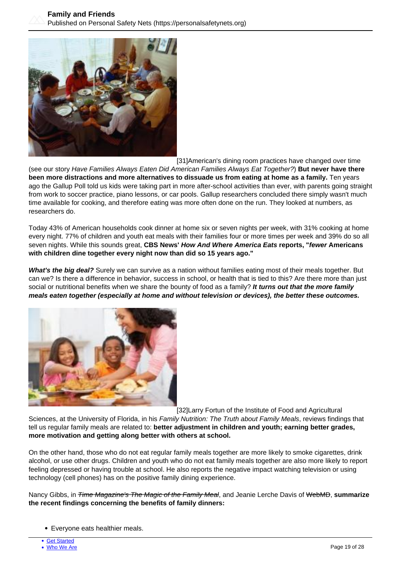

[31]American's dining room practices have changed over time

(see [our story](https://personalsafetynets.org/content/building-your-personal-safety-net) Have Families Always Eaten Did American Families Always Eat Together?) **But never have there been [more distr](https://personalsafetynets.org/who-we-are)actions and more alternatives to dissuade us from eating at home as a family.** Ten years ago the Gallup Poll told us kids were taking part in more after-school activities than ever, with parents going straight from work to soccer practice, piano lessons, or car pools. Gallup researchers concluded there simply wasn't much time available for cooking, and therefore eating was more often done on the run. They looked at numbers, as researchers do.

Today 43% of American households cook dinner at home six or seven nights per week, with 31% cooking at home every night. 77% of children and youth eat meals with their families four or more times per week and 39% do so all seven nights. While this sounds great, **CBS News' How And Where America Eats reports, "fewer Americans with children dine together every night now than did so 15 years ago."**

**What's the big deal?** Surely we can survive as a nation without families eating most of their meals together. But can we? Is there a difference in behavior, success in school, or health that is tied to this? Are there more than just social or nutritional benefits when we share the bounty of food as a family? **It turns out that the more family meals eaten together (especially at home and without television or devices), the better these outcomes.**



[32]Larry Fortun of the Institute of Food and Agricultural

Sciences, at the University of Florida, in his Family Nutrition: The Truth about Family Meals, reviews findings that tell us regular family meals are related to: **better adjustment in children and youth; earning better grades, more motivation and getting along better with others at school.**

On the other hand, those who do not eat regular family meals together are more likely to smoke cigarettes, drink alcohol, or use other drugs. Children and youth who do not eat family meals together are also more likely to report feeling depressed or having trouble at school. He also reports the negative impact watching television or using technology (cell phones) has on the positive family dining experience.

Nancy Gibbs, in Time Magazine's The Magic of the Family Meal, and Jeanie Lerche Davis of WebMD, **summarize the recent findings concerning the benefits of family dinners:**

Everyone eats healthier meals.

• [Get Started](https://personalsafetynets.org/content/building-your-personal-safety-net)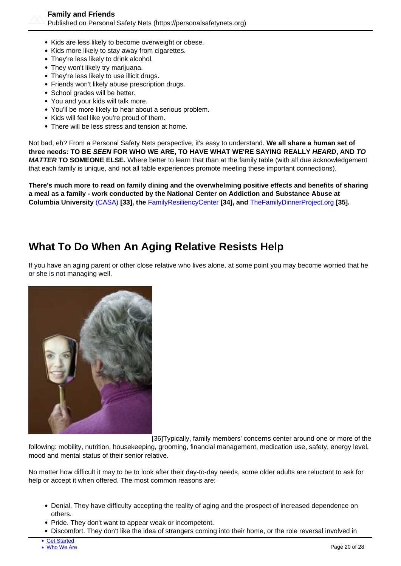- Kids are less likely to become overweight or obese.
- Kids more likely to stay away from cigarettes.
- They're less likely to drink alcohol.
- They won't likely try marijuana.
- They're less likely to use illicit drugs.
- Friends won't likely abuse prescription drugs.
- School grades will be better.
- You and your kids will talk more.
- You'll be more likely to hear about a serious problem.
- Kids will feel like you're proud of them.
- There will be less stress and tension at home.

Not bad, eh? From a Personal Safety Nets perspective, it's easy to understand. **We all share a human set of three needs: TO BE SEEN FOR WHO WE ARE, TO HAVE WHAT WE'RE SAYING REALLY HEARD, AND TO MATTER TO SOMEONE ELSE.** Where better to learn that than at the family table (with all due acknowledgement that each family is unique, and not all table experiences promote meeting these important connections).

**There's much more to read on family dining and the overwhelming positive effects and benefits of sharing a meal as a family - work conducted by the National Center on Addiction and Substance Abuse at Columbia University** [\(CASA\)](https://www.centeronaddiction.org/addiction-research/reports/importance-of-family-dinners-2012) **[33], the** [FamilyResiliencyCenter](http://familyresiliency.illinois.edu/research/families-eating-and-talking-together) **[34], and** [TheFamilyDinnerProject.org](https://thefamilydinnerproject.org) **[35].** 

### **What To Do When An Aging Relative Resists Help**

If you have an aging parent or other close relative who lives alone, at some point you may become worried that he or she is not managing well.



[36]Typically, family members' concerns center around one or more of the

following: mobility, nutrition, housekeeping, grooming, financial management, medication use, safety, energy level, mood and mental status of their senior relative.

No matter how difficult it may to be to look after their day-to-day needs, some older adults are reluctant to ask for help or accept it when offered. The most common reasons are:

- Denial. They have difficulty accepting the reality of aging and the prospect of increased dependence on others.
- Pride. They don't want to appear weak or incompetent.
- Discomfort. They don't like the idea of strangers coming into their home, or the role reversal involved in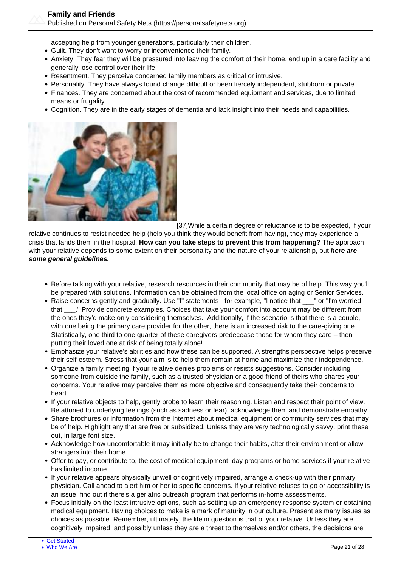accepting help from younger generations, particularly their children.

- Guilt. They don't want to worry or inconvenience their family.
- Anxiety. They fear they will be pressured into leaving the comfort of their home, end up in a care facility and generally lose control over their life
- Resentment. They perceive concerned family members as critical or intrusive.
- Personality. They have always found change difficult or been fiercely independent, stubborn or private.
- Finances. They are concerned about the cost of recommended equipment and services, due to limited means or frugality.
- Cognition. They are in the early stages of dementia and lack insight into their needs and capabilities.



[37]While a certain degree of reluctance is to be expected, if your relative continues to resist needed help (help you think they would benefit from having), they may experience a crisis that lands them in the hospital. **How can you take steps to prevent this from happening?** The approach with your relative depends to some extent on their personality and the nature of your relationship, but **here are some general guidelines.**

- Before talking with your relative, research resources in their community that may be of help. This way you'll be prepared with solutions. Information can be obtained from the local office on aging or Senior Services.
- Raise concerns gently and gradually. Use "I" statements for example, "I notice that "or "I'm worried that \_\_\_." Provide concrete examples. Choices that take your comfort into account may be different from the ones they'd make only considering themselves. Additionally, if the scenario is that there is a couple, with one being the primary care provider for the other, there is an increased risk to the care-giving one. Statistically, one third to one quarter of these caregivers predecease those for whom they care – then putting their loved one at risk of being totally alone!
- Emphasize your relative's abilities and how these can be supported. A strengths perspective helps preserve their self-esteem. Stress that your aim is to help them remain at home and maximize their independence.
- Organize a family meeting if your relative denies problems or resists suggestions. Consider including someone from outside the family, such as a trusted physician or a good friend of theirs who shares your concerns. Your relative may perceive them as more objective and consequently take their concerns to heart.
- If your relative objects to help, gently probe to learn their reasoning. Listen and respect their point of view. Be attuned to underlying feelings (such as sadness or fear), acknowledge them and demonstrate empathy.
- Share brochures or information from the Internet about medical equipment or community services that may be of help. Highlight any that are free or subsidized. Unless they are very technologically savvy, print these out, in large font size.
- Acknowledge how uncomfortable it may initially be to change their habits, alter their environment or allow strangers into their home.
- Offer to pay, or contribute to, the cost of medical equipment, day programs or home services if your relative has limited income.
- If your relative appears physically unwell or cognitively impaired, arrange a check-up with their primary physician. Call ahead to alert him or her to specific concerns. If your relative refuses to go or accessibility is an issue, find out if there's a geriatric outreach program that performs in-home assessments.
- Focus initially on the least intrusive options, such as setting up an emergency response system or obtaining medical equipment. Having choices to make is a mark of maturity in our culture. Present as many issues as choices as possible. Remember, ultimately, the life in question is that of your relative. Unless they are cognitively impaired, and possibly unless they are a threat to themselves and/or others, the decisions are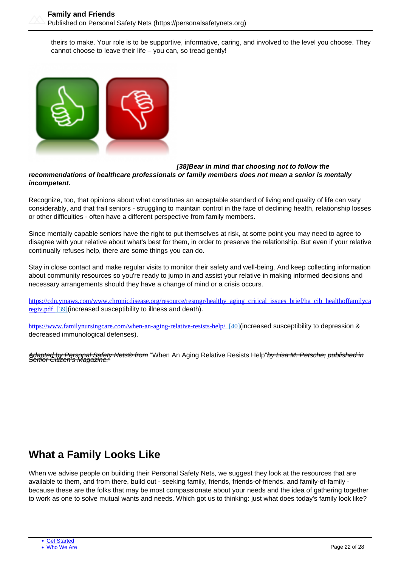theirs to make. Your role is to be supportive, informative, caring, and involved to the level you choose. They cannot choose to leave their life – you can, so tread gently!



### **[38]Bear in mind that choosing not to follow the**

**recommendations of healthcare professionals or family members does not mean a senior is mentally incompetent.**

Recognize, too, that opinions about what constitutes an acceptable standard of living and quality of life can vary considerably, and that frail seniors - struggling to maintain control in the face of declining health, relationship losses or other difficulties - often have a different perspective from family members.

Since mentally capable seniors have the right to put themselves at risk, at some point you may need to agree to disagree with your relative about what's best for them, in order to preserve the relationship. But even if your relative continually refuses help, there are some things you can do.

Stay in close contact and make regular visits to monitor their safety and well-being. And keep collecting information about community resources so you're ready to jump in and assist your relative in making informed decisions and necessary arrangements should they have a change of mind or a crisis occurs.

[https://cdn.ymaws.com/www.chronicdisease.org/resource/resmgr/healthy\\_aging\\_critical\\_issues\\_brief/ha\\_cib\\_healthoffamilyca](https://cdn.ymaws.com/www.chronicdisease.org/resource/resmgr/healthy_aging_critical_issues_brief/ha_cib_healthoffamilycaregiv.pdf) [regiv.pdf](https://cdn.ymaws.com/www.chronicdisease.org/resource/resmgr/healthy_aging_critical_issues_brief/ha_cib_healthoffamilycaregiv.pdf) [39](increased susceptibility to illness and death).

<https://www.familynursingcare.com/when-an-aging-relative-resists-help/>[40](increased susceptibility to depression & decreased immunological defenses).

Adapted by Personal Safety Nets® from "When An Aging Relative Resists Help"*by Lisa M. Petsche, published in*<br><del>Senior Citizen's Magazine.</del>

### **What a Family Looks Like**

When we advise people on building their Personal Safety Nets, we suggest they look at the resources that are available to them, and from there, build out - seeking family, friends, friends-of-friends, and family-of-family because these are the folks that may be most compassionate about your needs and the idea of gathering together to work as one to solve mutual wants and needs. Which got us to thinking: just what does today's family look like?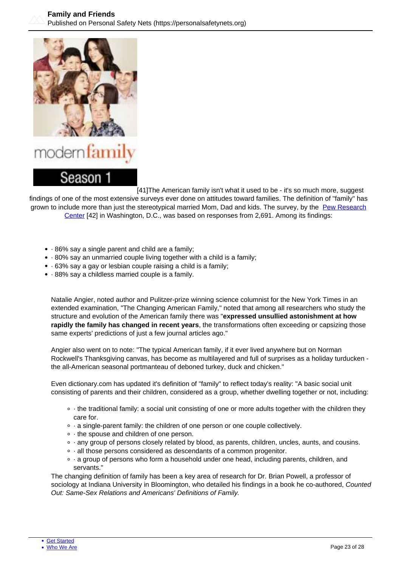

[41] The American family isn't what it used to be - it's so much more, suggest findings of one of the most extensive surveys ever done on attitudes toward families. The definition of "family" has grown [to include](https://personalsafetynets.org/content/building-your-personal-safety-net) more than just the stereotypical married Mom, Dad and kids. The survey, by the [Pew Research](https://www.pewresearch.org/fact-tank/2020/04/10/as-family-structures-change-in-u-s-a-growing-share-of-americans-say-it-makes-no-difference/%20) [Center](https://www.pewresearch.org/fact-tank/2020/04/10/as-family-structures-change-in-u-s-a-growing-share-of-americans-say-it-makes-no-difference/%20) [42] in Washington, D.C., was based on responses from 2,691. Among its findings:

- · 86% say a single parent and child are a family;
- · 80% say an unmarried couple living together with a child is a family;
- · 63% say a gay or lesbian couple raising a child is a family;
- · 88% say a childless married couple is a family.

Natalie Angier, noted author and Pulitzer-prize winning science columnist for the New York Times in an extended examination, "The Changing American Family," noted that among all researchers who study the structure and evolution of the American family there was "**expressed unsullied astonishment at how rapidly the family has changed in recent years**, the transformations often exceeding or capsizing those same experts' predictions of just a few journal articles ago."

Angier also went on to note: "The typical American family, if it ever lived anywhere but on Norman Rockwell's Thanksgiving canvas, has become as multilayered and full of surprises as a holiday turducken the all-American seasonal portmanteau of deboned turkey, duck and chicken."

Even dictionary.com has updated it's definition of "family" to reflect today's reality: "A basic social unit consisting of parents and their children, considered as a group, whether dwelling together or not, including:

- · the traditional family: a social unit consisting of one or more adults together with the children they care for.
- a single-parent family: the children of one person or one couple collectively.
- · the spouse and children of one person.
- · any group of persons closely related by blood, as parents, children, uncles, aunts, and cousins.
- · all those persons considered as descendants of a common progenitor.
- · a group of persons who form a household under one head, including parents, children, and servants."

The changing definition of family has been a key area of research for Dr. Brian Powell, a professor of sociology at Indiana University in Bloomington, who detailed his findings in a book he co-authored, Counted Out: Same-Sex Relations and Americans' Definitions of Family.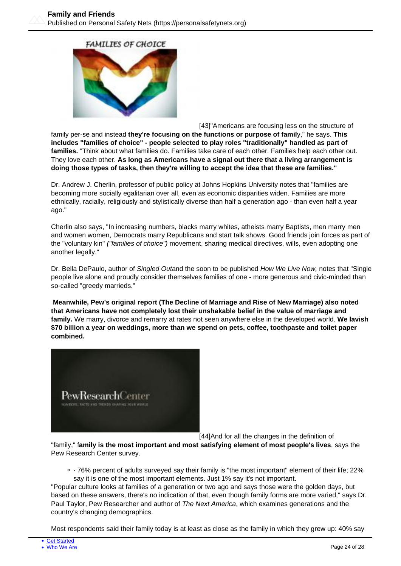### **FAMILIES OF CHOICE**



[43]"Americans are focusing less on the structure of family per-se and instead **they're focusing on the functions or purpose of famil**y," he says. **This includes "families of choice" - people selected to play roles "traditionally" handled as part of [families](https://personalsafetynets.org/content/building-your-personal-safety-net).** "Think about what families do. Families take care of each other. Families help each other out. [They love](https://personalsafetynets.org/who-we-are) each other. **As long as Americans have a signal out there that a living arrangement is doing those types of tasks, then they're willing to accept the idea that these are families."** 

Dr. Andrew J. Cherlin, professor of public policy at Johns Hopkins University notes that "families are becoming more socially egalitarian over all, even as economic disparities widen. Families are more ethnically, racially, religiously and stylistically diverse than half a generation ago - than even half a year ago."

Cherlin also says, "In increasing numbers, blacks marry whites, atheists marry Baptists, men marry men and women women, Democrats marry Republicans and start talk shows. Good friends join forces as part of the "voluntary kin" ("families of choice") movement, sharing medical directives, wills, even adopting one another legally."

Dr. Bella DePaulo, author of Singled Outand the soon to be published How We Live Now, notes that "Single" people live alone and proudly consider themselves families of one - more generous and civic-minded than so-called "greedy marrieds."

 **Meanwhile, Pew's original report (The Decline of Marriage and Rise of New Marriage) also noted that Americans have not completely lost their unshakable belief in the value of marriage and family.** We marry, divorce and remarry at rates not seen anywhere else in the developed world. **We lavish \$70 billion a year on weddings, more than we spend on pets, coffee, toothpaste and toilet paper combined.**



[44]And for all the changes in the definition of

"family," f**amily is the most important and most satisfying element of most people's lives**, says the Pew Research Center survey.

· 76% percent of adults surveyed say their family is "the most important" element of their life; 22% say it is one of the most important elements. Just 1% say it's not important.

"Popular culture looks at families of a generation or two ago and says those were the golden days, but based on these answers, there's no indication of that, even though family forms are more varied," says Dr. Paul Taylor, Pew Researcher and author of The Next America, which examines generations and the country's changing demographics.

Most respondents said their family today is at least as close as the family in which they grew up: 40% say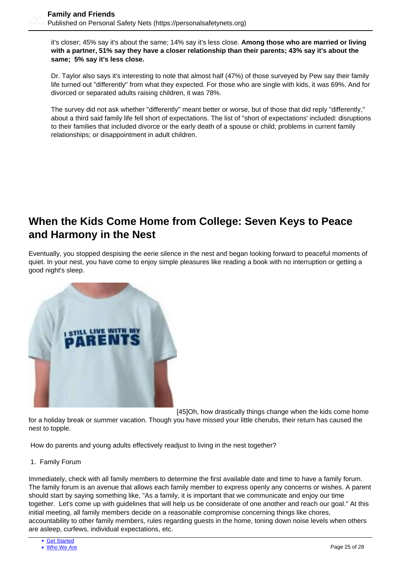it's closer; 45% say it's about the same; 14% say it's less close. **Among those who are married or living with a partner, 51% say they have a closer relationship than their parents; 43% say it's about the same; 5% say it's less close.**

Dr. Taylor also says it's interesting to note that almost half (47%) of those surveyed by Pew say their family life turned out "differently" from what they expected. For those who are single with kids, it was 69%. And for divorced or separated adults raising children, it was 78%.

The survey did not ask whether "differently" meant better or worse, but of those that did reply "differently," about a third said family life fell short of expectations. The list of "short of expectations' included: disruptions to their families that included divorce or the early death of a spouse or child; problems in current family relationships; or disappointment in adult children.

### **When the Kids Come Home from College: Seven Keys to Peace and Harmony in the Nest**

Eventually, you stopped despising the eerie silence in the nest and began looking forward to peaceful moments of quiet. In your nest, you have come to enjoy simple pleasures like reading a book with no interruption or getting a good night's sleep.



[45]Oh, how drastically things change when the kids come home

for a holiday break or summer vacation. Though you have missed your little cherubs, their return has caused the nest to topple.

How do parents and young adults effectively readjust to living in the nest together?

1. Family Forum

Immediately, check with all family members to determine the first available date and time to have a family forum. The family forum is an avenue that allows each family member to express openly any concerns or wishes. A parent should start by saying something like, "As a family, it is important that we communicate and enjoy our time together. Let's come up with guidelines that will help us be considerate of one another and reach our goal." At this initial meeting, all family members decide on a reasonable compromise concerning things like chores, accountability to other family members, rules regarding guests in the home, toning down noise levels when others are asleep, curfews, individual expectations, etc.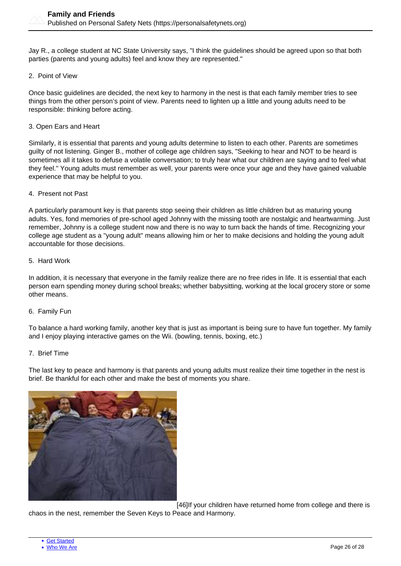Jay R., a college student at NC State University says, "I think the guidelines should be agreed upon so that both parties (parents and young adults) feel and know they are represented."

#### 2. Point of View

Once basic guidelines are decided, the next key to harmony in the nest is that each family member tries to see things from the other person's point of view. Parents need to lighten up a little and young adults need to be responsible: thinking before acting.

#### 3. Open Ears and Heart

Similarly, it is essential that parents and young adults determine to listen to each other. Parents are sometimes guilty of not listening. Ginger B., mother of college age children says, "Seeking to hear and NOT to be heard is sometimes all it takes to defuse a volatile conversation; to truly hear what our children are saying and to feel what they feel." Young adults must remember as well, your parents were once your age and they have gained valuable experience that may be helpful to you.

#### 4. Present not Past

A particularly paramount key is that parents stop seeing their children as little children but as maturing young adults. Yes, fond memories of pre-school aged Johnny with the missing tooth are nostalgic and heartwarming. Just remember, Johnny is a college student now and there is no way to turn back the hands of time. Recognizing your college age student as a "young adult" means allowing him or her to make decisions and holding the young adult accountable for those decisions.

### 5. Hard Work

In addition, it is necessary that everyone in the family realize there are no free rides in life. It is essential that each person earn spending money during school breaks; whether babysitting, working at the local grocery store or some other means.

#### 6. Family Fun

To balance a hard working family, another key that is just as important is being sure to have fun together. My family and I enjoy playing interactive games on the Wii. (bowling, tennis, boxing, etc.)

### 7. Brief Time

The last key to peace and harmony is that parents and young adults must realize their time together in the nest is brief. Be thankful for each other and make the best of moments you share.



[46]If your children have returned home from college and there is

chaos in the nest, remember the Seven Keys to Peace and Harmony.

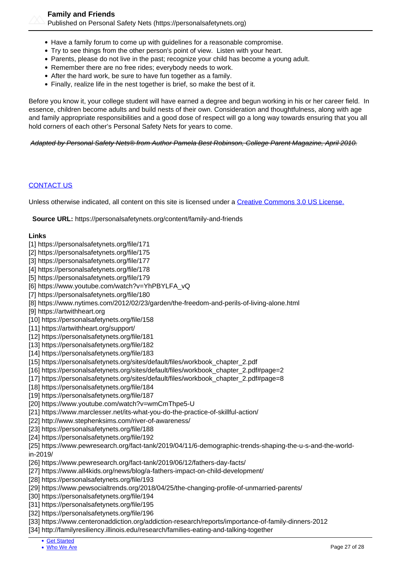- Have a family forum to come up with guidelines for a reasonable compromise.
- Try to see things from the other person's point of view. Listen with your heart.
- Parents, please do not live in the past; recognize your child has become a young adult.
- Remember there are no free rides; everybody needs to work.
- After the hard work, be sure to have fun together as a family.
- Finally, realize life in the nest together is brief, so make the best of it.

Before you know it, your college student will have earned a degree and begun working in his or her career field. In essence, children become adults and build nests of their own. Consideration and thoughtfulness, along with age and family appropriate responsibilities and a good dose of respect will go a long way towards ensuring that you all hold corners of each other's Personal Safety Nets for years to come.

#### Adapted by Personal Safety Nets® from Author Pamela Best Robinson, College Parent Magazine, April 2010.

### [CONTACT US](https://personalsafetynets.org/contact)

Unless otherwise indicated, all content on this site is licensed under a [Creative Commons 3.0 US License.](http://creativecommons.org/licenses/by-nc-sa/3.0/us/)

**Source URL:** https://personalsafetynets.org/content/family-and-friends

#### **Links**

- [1] https://personalsafetynets.org/file/171
- [2] https://personalsafetynets.org/file/175
- [3] https://personalsafetynets.org/file/177
- [4] https://personalsafetynets.org/file/178
- [5] https://personalsafetynets.org/file/179
- [6] https://www.youtube.com/watch?v=YhPBYLFA\_vQ
- [7] https://personalsafetynets.org/file/180
- [8] https://www.nytimes.com/2012/02/23/garden/the-freedom-and-perils-of-living-alone.html
- [9] https://artwithheart.org
- [10] https://personalsafetynets.org/file/158
- [11] https://artwithheart.org/support/
- [12] https://personalsafetynets.org/file/181
- [13] https://personalsafetynets.org/file/182
- [14] https://personalsafetynets.org/file/183
- [15] https://personalsafetynets.org/sites/default/files/workbook\_chapter\_2.pdf
- [16] https://personalsafetynets.org/sites/default/files/workbook\_chapter\_2.pdf#page=2
- [17] https://personalsafetynets.org/sites/default/files/workbook\_chapter\_2.pdf#page=8
- [18] https://personalsafetynets.org/file/184
- [19] https://personalsafetynets.org/file/187
- [20] https://www.youtube.com/watch?v=wmCmThpe5-U
- [21] https://www.marclesser.net/its-what-you-do-the-practice-of-skillful-action/
- [22] http://www.stephenksims.com/river-of-awareness/
- [23] https://personalsafetynets.org/file/188
- [24] https://personalsafetynets.org/file/192

[25] https://www.pewresearch.org/fact-tank/2019/04/11/6-demographic-trends-shaping-the-u-s-and-the-worldin-2019/

- [26] https://www.pewresearch.org/fact-tank/2019/06/12/fathers-day-facts/
- [27] https://www.all4kids.org/news/blog/a-fathers-impact-on-child-development/
- [28] https://personalsafetynets.org/file/193
- [29] https://www.pewsocialtrends.org/2018/04/25/the-changing-profile-of-unmarried-parents/
- [30] https://personalsafetynets.org/file/194
- [31] https://personalsafetynets.org/file/195
- [32] https://personalsafetynets.org/file/196
- [33] https://www.centeronaddiction.org/addiction-research/reports/importance-of-family-dinners-2012
- [34] http://familyresiliency.illinois.edu/research/families-eating-and-talking-together